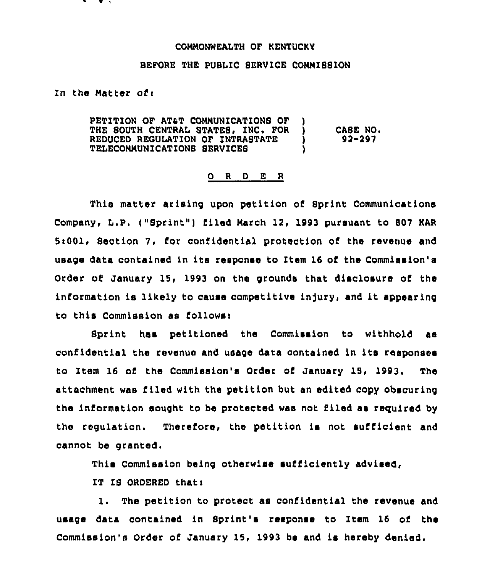## CONNONWEALTH OF KENTUCKY

## BEFORE THE PUBLIC SERVICE CONNIS8ION

In the Matter of $\mathbf r$ 

PETITION OF AT&T COMMUNICATIONS OF THE SOUTH CENTRAL STATES, INC. FOR ) CA8E NO.<br>REDUCED REGULATION OF INTRASTATE ) 92-297 REDUCED REGULATION OF INTRASTATE TELECONNUNICATIONS SERVICES )

## 0 <sup>R</sup> <sup>D</sup> E <sup>R</sup>

This matter arising upon petition of Sprint Communications Company, L.P. ("Sprint") filed March 12, 1993 pursuant to 807 KAR 5:001, Section 7, for confidential protection of the revenue and usage data contained ln its response to Item 16 of the Commission's Order of January 15, 1993 on the grounds that disclosure of the information is likely to cause competitive injury, and it appearing to this Commission as follows:

Sprint has petitioned the Commission to withhold as confidential the revenue and usage data contained in its responses to Item 16 of the Commission's Order of January 15, 1993. The attachment was filed with the petition but an edited copy obscuring the information sought to be protected was not filed as required by the regulation. Therefore, the petition ls not sufficient and cannot be granted.

This Commission being otherwise sufficiently advised,

IT IS ORDERED thati

1. The petition to protect as confidential the revenue and usage data contained in Sprint's response to Item 16 of the Commission's Order of January 15, 1993 be and ls hereby denied.